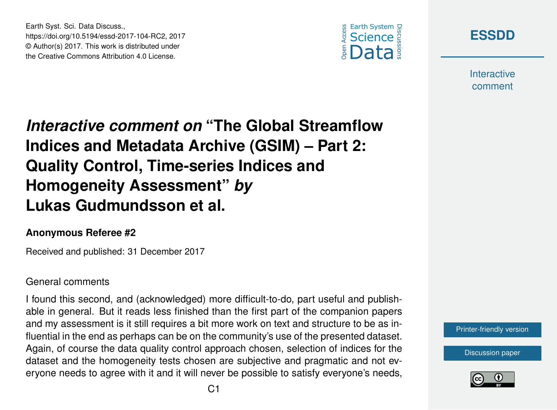Earth Syst. Sci. Data Discuss., https://doi.org/10.5194/essd-2017-104-RC2, 2017 © Author(s) 2017. This work is distributed under the Creative Commons Attribution 4.0 License.





**Interactive** comment

# *Interactive comment on* **"The Global Streamflow Indices and Metadata Archive (GSIM) – Part 2: Quality Control, Time-series Indices and Homogeneity Assessment"** *by* **Lukas Gudmundsson et al.**

#### **Anonymous Referee #2**

Received and published: 31 December 2017

#### General comments

I found this second, and (acknowledged) more difficult-to-do, part useful and publishable in general. But it reads less finished than the first part of the companion papers and my assessment is it still requires a bit more work on text and structure to be as influential in the end as perhaps can be on the community's use of the presented dataset. Again, of course the data quality control approach chosen, selection of indices for the dataset and the homogeneity tests chosen are subjective and pragmatic and not everyone needs to agree with it and it will never be possible to satisfy everyone's needs,



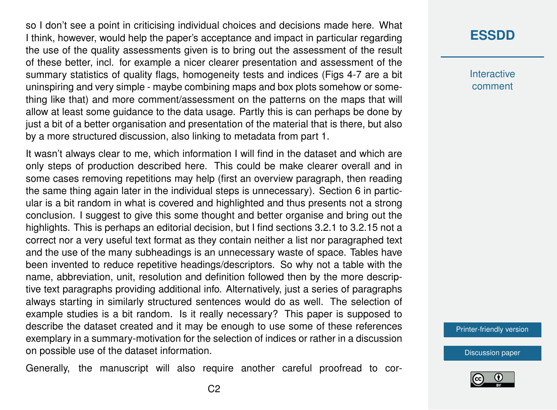so I don't see a point in criticising individual choices and decisions made here. What I think, however, would help the paper's acceptance and impact in particular regarding the use of the quality assessments given is to bring out the assessment of the result of these better, incl. for example a nicer clearer presentation and assessment of the summary statistics of quality flags, homogeneity tests and indices (Figs 4-7 are a bit uninspiring and very simple - maybe combining maps and box plots somehow or something like that) and more comment/assessment on the patterns on the maps that will allow at least some guidance to the data usage. Partly this is can perhaps be done by just a bit of a better organisation and presentation of the material that is there, but also by a more structured discussion, also linking to metadata from part 1.

It wasn't always clear to me, which information I will find in the dataset and which are only steps of production described here. This could be make clearer overall and in some cases removing repetitions may help (first an overview paragraph, then reading the same thing again later in the individual steps is unnecessary). Section 6 in particular is a bit random in what is covered and highlighted and thus presents not a strong conclusion. I suggest to give this some thought and better organise and bring out the highlights. This is perhaps an editorial decision, but I find sections 3.2.1 to 3.2.15 not a correct nor a very useful text format as they contain neither a list nor paragraphed text and the use of the many subheadings is an unnecessary waste of space. Tables have been invented to reduce repetitive headings/descriptors. So why not a table with the name, abbreviation, unit, resolution and definition followed then by the more descriptive text paragraphs providing additional info. Alternatively, just a series of paragraphs always starting in similarly structured sentences would do as well. The selection of example studies is a bit random. Is it really necessary? This paper is supposed to describe the dataset created and it may be enough to use some of these references exemplary in a summary-motivation for the selection of indices or rather in a discussion on possible use of the dataset information.

Generally, the manuscript will also require another careful proofread to cor-

### **[ESSDD](https://www.earth-syst-sci-data-discuss.net/)**

**Interactive** comment

[Printer-friendly version](https://www.earth-syst-sci-data-discuss.net/essd-2017-104/essd-2017-104-RC2-print.pdf)

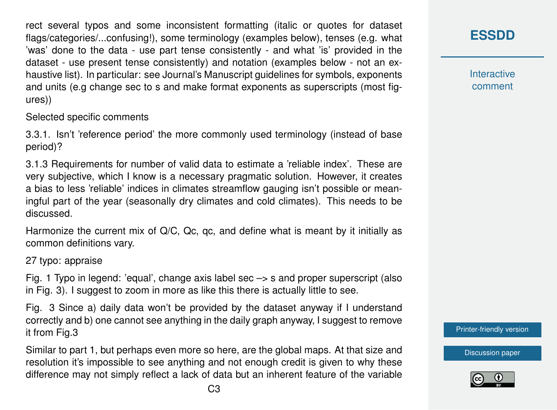rect several typos and some inconsistent formatting (italic or quotes for dataset flags/categories/...confusing!), some terminology (examples below), tenses (e.g. what 'was' done to the data - use part tense consistently - and what 'is' provided in the dataset - use present tense consistently) and notation (examples below - not an exhaustive list). In particular: see Journal's Manuscript guidelines for symbols, exponents and units (e.g change sec to s and make format exponents as superscripts (most figures))

Selected specific comments

3.3.1. Isn't 'reference period' the more commonly used terminology (instead of base period)?

3.1.3 Requirements for number of valid data to estimate a 'reliable index'. These are very subjective, which I know is a necessary pragmatic solution. However, it creates a bias to less 'reliable' indices in climates streamflow gauging isn't possible or meaningful part of the year (seasonally dry climates and cold climates). This needs to be discussed.

Harmonize the current mix of Q/C, Qc, qc, and define what is meant by it initially as common definitions vary.

27 typo: appraise

Fig. 1 Typo in legend: 'equal', change axis label sec  $\rightarrow$  s and proper superscript (also in Fig. 3). I suggest to zoom in more as like this there is actually little to see.

Fig. 3 Since a) daily data won't be provided by the dataset anyway if I understand correctly and b) one cannot see anything in the daily graph anyway, I suggest to remove it from Fig.3

Similar to part 1, but perhaps even more so here, are the global maps. At that size and resolution it's impossible to see anything and not enough credit is given to why these difference may not simply reflect a lack of data but an inherent feature of the variable **[ESSDD](https://www.earth-syst-sci-data-discuss.net/)**

**Interactive** comment

[Printer-friendly version](https://www.earth-syst-sci-data-discuss.net/essd-2017-104/essd-2017-104-RC2-print.pdf)